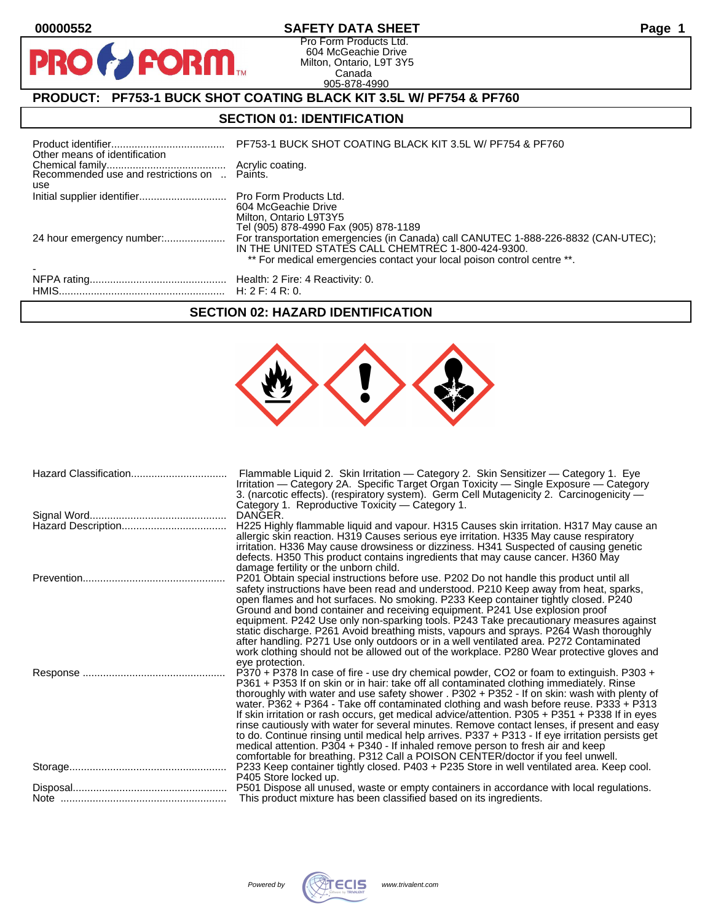$\mathbf O$ 

PR

#### **00000552 SAFETY DATA SHEET Page 1**

Pro Form Products Ltd. 604 McGeachie Drive Milton, Ontario, L9T 3Y5 Canada 905-878-4990

## **PRODUCT: PF753-1 BUCK SHOT COATING BLACK KIT 3.5L W/ PF754 & PF760**

**PORM** 

#### **SECTION 01: IDENTIFICATION**

| Other means of identification | PF753-1 BUCK SHOT COATING BLACK KIT 3.5L W/ PF754 & PF760                                                                                                                                                           |
|-------------------------------|---------------------------------------------------------------------------------------------------------------------------------------------------------------------------------------------------------------------|
| use                           |                                                                                                                                                                                                                     |
|                               | 604 McGeachie Drive<br>Milton, Ontario L9T3Y5<br>Tel (905) 878-4990 Fax (905) 878-1189                                                                                                                              |
| 24 hour emergency number:     | For transportation emergencies (in Canada) call CANUTEC 1-888-226-8832 (CAN-UTEC);<br>IN THE UNITED STATES CALL CHEMTREC 1-800-424-9300.<br>** For medical emergencies contact your local poison control centre **. |
|                               |                                                                                                                                                                                                                     |

#### **SECTION 02: HAZARD IDENTIFICATION**

| Hazard Classification | Flammable Liquid 2. Skin Irritation — Category 2. Skin Sensitizer — Category 1. Eye<br>Irritation — Category 2A. Specific Target Organ Toxicity — Single Exposure — Category<br>3. (narcotic effects). (respiratory system). Germ Cell Mutagenicity 2. Carcinogenicity -<br>Category 1. Reproductive Toxicity — Category 1.                                                                                                                                                                                                                                                                                                                                                                                                                                                                                                                                                 |
|-----------------------|-----------------------------------------------------------------------------------------------------------------------------------------------------------------------------------------------------------------------------------------------------------------------------------------------------------------------------------------------------------------------------------------------------------------------------------------------------------------------------------------------------------------------------------------------------------------------------------------------------------------------------------------------------------------------------------------------------------------------------------------------------------------------------------------------------------------------------------------------------------------------------|
|                       | DANGER.<br>H225 Highly flammable liquid and vapour. H315 Causes skin irritation. H317 May cause an<br>allergic skin reaction. H319 Causes serious eye irritation. H335 May cause respiratory<br>irritation. H336 May cause drowsiness or dizziness. H341 Suspected of causing genetic<br>defects. H350 This product contains ingredients that may cause cancer. H360 May                                                                                                                                                                                                                                                                                                                                                                                                                                                                                                    |
|                       | damage fertility or the unborn child.<br>P201 Obtain special instructions before use. P202 Do not handle this product until all<br>safety instructions have been read and understood. P210 Keep away from heat, sparks,<br>open flames and hot surfaces. No smoking. P233 Keep container tightly closed. P240<br>Ground and bond container and receiving equipment. P241 Use explosion proof<br>equipment. P242 Use only non-sparking tools. P243 Take precautionary measures against<br>static discharge. P261 Avoid breathing mists, vapours and sprays. P264 Wash thoroughly<br>after handling. P271 Use only outdoors or in a well ventilated area. P272 Contaminated<br>work clothing should not be allowed out of the workplace. P280 Wear protective gloves and                                                                                                      |
|                       | eye protection.<br>P370 + P378 In case of fire - use dry chemical powder, CO2 or foam to extinguish. P303 +<br>P361 + P353 If on skin or in hair: take off all contaminated clothing immediately. Rinse<br>thoroughly with water and use safety shower . P302 + P352 - If on skin: wash with plenty of<br>water. P362 + P364 - Take off contaminated clothing and wash before reuse. P333 + P313<br>If skin irritation or rash occurs, get medical advice/attention. P305 + P351 + P338 If in eyes<br>rinse cautiously with water for several minutes. Remove contact lenses, if present and easy<br>to do. Continue rinsing until medical help arrives. P337 + P313 - If eye irritation persists get<br>medical attention. P304 + P340 - If inhaled remove person to fresh air and keep<br>comfortable for breathing. P312 Call a POISON CENTER/doctor if you feel unwell. |
|                       | P233 Keep container tightly closed. P403 + P235 Store in well ventilated area. Keep cool.<br>P405 Store locked up.                                                                                                                                                                                                                                                                                                                                                                                                                                                                                                                                                                                                                                                                                                                                                          |
|                       | P501 Dispose all unused, waste or empty containers in accordance with local regulations.<br>This product mixture has been classified based on its ingredients.                                                                                                                                                                                                                                                                                                                                                                                                                                                                                                                                                                                                                                                                                                              |
|                       |                                                                                                                                                                                                                                                                                                                                                                                                                                                                                                                                                                                                                                                                                                                                                                                                                                                                             |

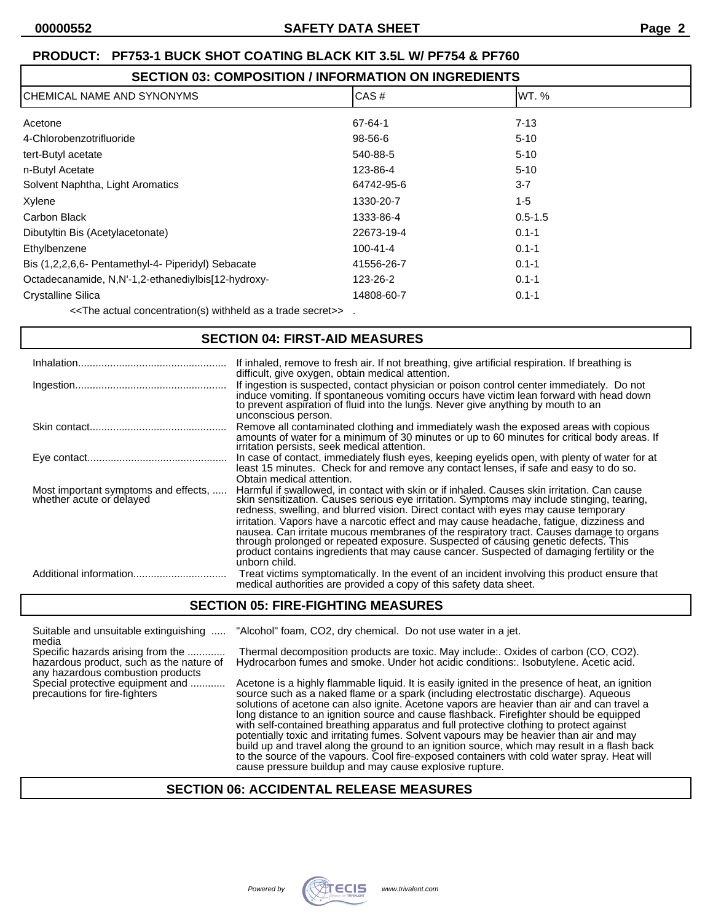| <b>SECTION 03: COMPOSITION / INFORMATION ON INGREDIENTS</b> |
|-------------------------------------------------------------|
|-------------------------------------------------------------|

| ICHEMICAL NAME AND SYNONYMS                        | CAS#           | IWT. %      |
|----------------------------------------------------|----------------|-------------|
| Acetone                                            | 67-64-1        | $7 - 13$    |
| 4-Chlorobenzotrifluoride                           | 98-56-6        | $5 - 10$    |
| tert-Butyl acetate                                 | 540-88-5       | $5 - 10$    |
| n-Butyl Acetate                                    | 123-86-4       | $5 - 10$    |
| Solvent Naphtha, Light Aromatics                   | 64742-95-6     | $3 - 7$     |
| Xylene                                             | 1330-20-7      | 1-5         |
| Carbon Black                                       | 1333-86-4      | $0.5 - 1.5$ |
| Dibutyltin Bis (Acetylacetonate)                   | 22673-19-4     | $0.1 - 1$   |
| Ethylbenzene                                       | $100 - 41 - 4$ | $0.1 - 1$   |
| Bis (1,2,2,6,6- Pentamethyl-4- Piperidyl) Sebacate | 41556-26-7     | $0.1 - 1$   |
| Octadecanamide, N,N'-1,2-ethanediylbis[12-hydroxy- | 123-26-2       | $0.1 - 1$   |
| <b>Crystalline Silica</b>                          | 14808-60-7     | $0.1 - 1$   |

<<The actual concentration(s) withheld as a trade secret>> .

#### **SECTION 04: FIRST-AID MEASURES**

| Inhalation                                                       | If inhaled, remove to fresh air. If not breathing, give artificial respiration. If breathing is<br>difficult, give oxygen, obtain medical attention.                                                                                                                                                                                                                                                                                                                                                                                                                                                                                                                         |
|------------------------------------------------------------------|------------------------------------------------------------------------------------------------------------------------------------------------------------------------------------------------------------------------------------------------------------------------------------------------------------------------------------------------------------------------------------------------------------------------------------------------------------------------------------------------------------------------------------------------------------------------------------------------------------------------------------------------------------------------------|
|                                                                  | If ingestion is suspected, contact physician or poison control center immediately. Do not<br>induce vomiting. If spontaneous vomiting occurs have victim lean forward with head down<br>to prevent aspiration of fluid into the lungs. Never give anything by mouth to an<br>unconscious person.                                                                                                                                                                                                                                                                                                                                                                             |
|                                                                  | Remove all contaminated clothing and immediately wash the exposed areas with copious<br>amounts of water for a minimum of 30 minutes or up to 60 minutes for critical body areas. If<br>irritation persists, seek medical attention.                                                                                                                                                                                                                                                                                                                                                                                                                                         |
|                                                                  | In case of contact, immediately flush eyes, keeping eyelids open, with plenty of water for at<br>least 15 minutes. Check for and remove any contact lenses, if safe and easy to do so.<br>Obtain medical attention.                                                                                                                                                                                                                                                                                                                                                                                                                                                          |
| Most important symptoms and effects,<br>whether acute or delayed | Harmful if swallowed, in contact with skin or if inhaled. Causes skin irritation. Can cause<br>skin sensitization. Causes serious eye irritation. Symptoms may include stinging, tearing,<br>redness, swelling, and blurred vision. Direct contact with eyes may cause temporary<br>irritation. Vapors have a narcotic effect and may cause headache, fatigue, dizziness and<br>nausea. Can irritate mucous membranes of the respiratory tract. Causes damage to organs<br>through prolonged or repeated exposure. Suspected of causing genetic defects. This<br>product contains ingredients that may cause cancer. Suspected of damaging fertility or the<br>unborn child. |
|                                                                  | Treat victims symptomatically. In the event of an incident involving this product ensure that<br>medical authorities are provided a copy of this safety data sheet.                                                                                                                                                                                                                                                                                                                                                                                                                                                                                                          |

#### **SECTION 05: FIRE-FIGHTING MEASURES**

Suitable and unsuitable extinguishing ..... "Alcohol" foam, CO2, dry chemical. Do not use water in a jet.

media<br>Specific hazards arising from the ............. any hazardous combustion products<br>Special protective equipment and ............

Thermal decomposition products are toxic. May include:. Oxides of carbon (CO, CO2). hazardous product, such as the nature of Hydrocarbon fumes and smoke. Under hot acidic conditions:. Isobutylene. Acetic acid.

Acetone is a highly flammable liquid. It is easily ignited in the presence of heat, an ignition precautions for fire-fighters source such as a naked flame or a spark (including electrostatic discharge). Aqueous solutions of acetone can also ignite. Acetone vapors are heavier than air and can travel a long distance to an ignition source and cause flashback. Firefighter should be equipped with self-contained breathing apparatus and full protective clothing to protect against potentially toxic and irritating fumes. Solvent vapours may be heavier than air and may build up and travel along the ground to an ignition source, which may result in a flash back to the source of the vapours. Cool fire-exposed containers with cold water spray. Heat will cause pressure buildup and may cause explosive rupture.

#### **SECTION 06: ACCIDENTAL RELEASE MEASURES**

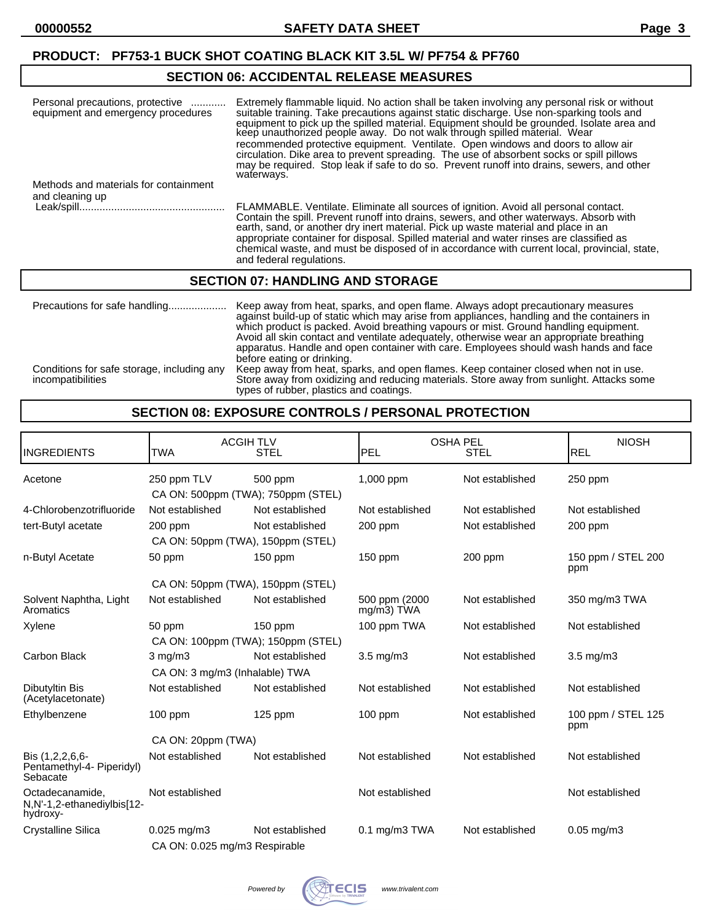#### **SECTION 06: ACCIDENTAL RELEASE MEASURES**

| Personal precautions, protective<br>equipment and emergency procedures | Extremely flammable liquid. No action shall be taken involving any personal risk or without<br>suitable training. Take precautions against static discharge. Use non-sparking tools and<br>equipment to pick up the spilled material. Equipment should be grounded. Isolate area and<br>keep unauthorized people away. Do not walk through spilled material. Wear<br>recommended protective equipment. Ventilate. Open windows and doors to allow air<br>circulation. Dike area to prevent spreading. The use of absorbent socks or spill pillows<br>may be required. Stop leak if safe to do so. Prevent runoff into drains, sewers, and other<br>waterways. |
|------------------------------------------------------------------------|---------------------------------------------------------------------------------------------------------------------------------------------------------------------------------------------------------------------------------------------------------------------------------------------------------------------------------------------------------------------------------------------------------------------------------------------------------------------------------------------------------------------------------------------------------------------------------------------------------------------------------------------------------------|
| Methods and materials for containment                                  |                                                                                                                                                                                                                                                                                                                                                                                                                                                                                                                                                                                                                                                               |
| and cleaning up                                                        | FLAMMABLE. Ventilate. Eliminate all sources of ignition. Avoid all personal contact.<br>Contain the spill. Prevent runoff into drains, sewers, and other waterways. Absorb with<br>earth, sand, or another dry inert material. Pick up waste material and place in an<br>appropriate container for disposal. Spilled material and water rinses are classified as<br>chemical waste, and must be disposed of in accordance with current local, provincial, state,<br>and federal regulations.                                                                                                                                                                  |

#### **SECTION 07: HANDLING AND STORAGE**

| Precautions for safe handling                                   | Keep away from heat, sparks, and open flame. Always adopt precautionary measures<br>against build-up of static which may arise from appliances, handling and the containers in<br>which product is packed. Avoid breathing vapours or mist. Ground handling equipment.<br>Avoid all skin contact and ventilate adequately, otherwise wear an appropriate breathing<br>apparatus. Handle and open container with care. Employees should wash hands and face<br>before eating or drinking. |
|-----------------------------------------------------------------|------------------------------------------------------------------------------------------------------------------------------------------------------------------------------------------------------------------------------------------------------------------------------------------------------------------------------------------------------------------------------------------------------------------------------------------------------------------------------------------|
| Conditions for safe storage, including any<br>incompatibilities | Keep away from heat, sparks, and open flames. Keep container closed when not in use.<br>Store away from oxidizing and reducing materials. Store away from sunlight. Attacks some<br>types of rubber, plastics and coatings.                                                                                                                                                                                                                                                              |

#### **SECTION 08: EXPOSURE CONTROLS / PERSONAL PROTECTION**

| <b>INGREDIENTS</b>                                        | <b>ACGIH TLV</b><br><b>TWA</b>                    | <b>STEL</b>     | <b>OSHA PEL</b><br>PEL      | <b>STEL</b>     | <b>NIOSH</b><br><b>REL</b> |
|-----------------------------------------------------------|---------------------------------------------------|-----------------|-----------------------------|-----------------|----------------------------|
| Acetone                                                   | 250 ppm TLV<br>CA ON: 500ppm (TWA); 750ppm (STEL) | 500 ppm         | 1,000 ppm                   | Not established | 250 ppm                    |
| 4-Chlorobenzotrifluoride                                  | Not established                                   | Not established | Not established             | Not established | Not established            |
| tert-Butyl acetate                                        | $200$ ppm<br>CA ON: 50ppm (TWA), 150ppm (STEL)    | Not established | $200$ ppm                   | Not established | $200$ ppm                  |
| n-Butyl Acetate                                           | 50 ppm                                            | 150 ppm         | 150 ppm                     | 200 ppm         | 150 ppm / STEL 200<br>ppm  |
|                                                           | CA ON: 50ppm (TWA), 150ppm (STEL)                 |                 |                             |                 |                            |
| Solvent Naphtha, Light<br>Aromatics                       | Not established                                   | Not established | 500 ppm (2000<br>mg/m3) TWA | Not established | 350 mg/m3 TWA              |
| Xylene                                                    | 50 ppm<br>CA ON: 100ppm (TWA); 150ppm (STEL)      | 150 ppm         | 100 ppm TWA                 | Not established | Not established            |
| <b>Carbon Black</b>                                       | $3$ mg/m $3$<br>CA ON: 3 mg/m3 (Inhalable) TWA    | Not established | $3.5 \text{ mg/m}$          | Not established | $3.5 \text{ mg/m}$         |
| Dibutyltin Bis<br>(Acetylacetonate)                       | Not established                                   | Not established | Not established             | Not established | Not established            |
| Ethylbenzene                                              | $100$ ppm                                         | $125$ ppm       | $100$ ppm                   | Not established | 100 ppm / STEL 125<br>ppm  |
|                                                           | CA ON: 20ppm (TWA)                                |                 |                             |                 |                            |
| Bis (1,2,2,6,6-<br>Pentamethyl-4- Piperidyl)<br>Sebacate  | Not established                                   | Not established | Not established             | Not established | Not established            |
| Octadecanamide,<br>N,N'-1,2-ethanediylbis[12-<br>hydroxy- | Not established                                   |                 | Not established             |                 | Not established            |
| <b>Crystalline Silica</b>                                 | $0.025 \text{ mg/m}$ 3                            | Not established | $0.1$ mg/m $3$ TWA          | Not established | $0.05$ mg/m $3$            |
|                                                           | CA ON: 0.025 mg/m3 Respirable                     |                 |                             |                 |                            |

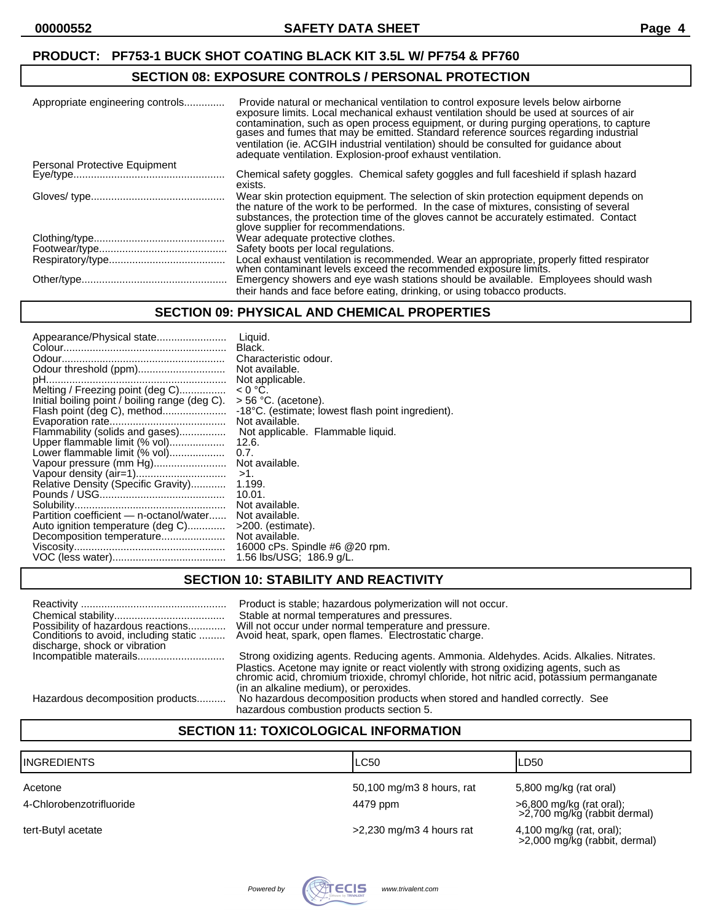#### **SECTION 08: EXPOSURE CONTROLS / PERSONAL PROTECTION**

| Appropriate engineering controls | Provide natural or mechanical ventilation to control exposure levels below airborne<br>exposure limits. Local mechanical exhaust ventilation should be used at sources of air<br>contamination, such as open process equipment, or during purging operations, to capture gases and fumes that may be emitted. Standard reference sources regarding industrial<br>ventilation (ie. ACGIH industrial ventilation) should be consulted for guidance about<br>adequate ventilation. Explosion-proof exhaust ventilation. |
|----------------------------------|----------------------------------------------------------------------------------------------------------------------------------------------------------------------------------------------------------------------------------------------------------------------------------------------------------------------------------------------------------------------------------------------------------------------------------------------------------------------------------------------------------------------|
| Personal Protective Equipment    |                                                                                                                                                                                                                                                                                                                                                                                                                                                                                                                      |
|                                  | Chemical safety goggles. Chemical safety goggles and full faceshield if splash hazard<br>exists.                                                                                                                                                                                                                                                                                                                                                                                                                     |
|                                  | Wear skin protection equipment. The selection of skin protection equipment depends on<br>the nature of the work to be performed. In the case of mixtures, consisting of several<br>substances, the protection time of the gloves cannot be accurately estimated. Contact<br>glove supplier for recommendations.                                                                                                                                                                                                      |
|                                  | Wear adequate protective clothes.                                                                                                                                                                                                                                                                                                                                                                                                                                                                                    |
|                                  | Safety boots per local regulations.                                                                                                                                                                                                                                                                                                                                                                                                                                                                                  |
|                                  | Local exhaust ventilation is recommended. Wear an appropriate, properly fitted respirator<br>when contaminant levels exceed the recommended exposure limits.                                                                                                                                                                                                                                                                                                                                                         |
|                                  | Emergency showers and eye wash stations should be available. Employees should wash                                                                                                                                                                                                                                                                                                                                                                                                                                   |
|                                  | their hands and face before eating, drinking, or using tobacco products.                                                                                                                                                                                                                                                                                                                                                                                                                                             |

#### **SECTION 09: PHYSICAL AND CHEMICAL PROPERTIES**

| Appearance/Physical state                      | Liauid.                                           |
|------------------------------------------------|---------------------------------------------------|
|                                                | Black.                                            |
|                                                | Characteristic odour.                             |
|                                                | Not available.                                    |
|                                                | Not applicable.                                   |
| Melting / Freezing point (deg C)               | $< 0 °C$ .                                        |
| Initial boiling point / boiling range (deg C). | $>$ 56 °C. (acetone).                             |
| Flash point (deg C), method                    | -18°C. (estimate; lowest flash point ingredient). |
|                                                | Not available.                                    |
| Flammability (solids and gases)                | Not applicable. Flammable liquid.                 |
| Upper flammable limit (% vol)                  | 12.6.                                             |
| Lower flammable limit (% vol)                  | $0.7$ .                                           |
| Vapour pressure (mm Hg)                        | Not available.                                    |
|                                                | $>1$ .                                            |
| Relative Density (Specific Gravity)            | 1.199.                                            |
|                                                | 10.01.                                            |
|                                                | Not available.                                    |
| Partition coefficient — n-octanol/water        | Not available.                                    |
| Auto ignition temperature (deg C)              | $>200$ . (estimate).                              |
| Decomposition temperature                      | Not available.                                    |
|                                                | 16000 cPs. Spindle #6 @ 20 rpm.                   |
|                                                | 1.56 lbs/USG; 186.9 g/L.                          |
|                                                |                                                   |

#### **SECTION 10: STABILITY AND REACTIVITY**

| Possibility of hazardous reactions<br>Conditions to avoid, including static<br>discharge, shock or vibration | Product is stable; hazardous polymerization will not occur.<br>Stable at normal temperatures and pressures.<br>Will not occur under normal temperature and pressure.<br>Avoid heat, spark, open flames. Electrostatic charge. |
|--------------------------------------------------------------------------------------------------------------|-------------------------------------------------------------------------------------------------------------------------------------------------------------------------------------------------------------------------------|
|                                                                                                              | Strong oxidizing agents. Reducing agents. Ammonia. Aldehydes. Acids. Alkalies. Nitrates.                                                                                                                                      |
|                                                                                                              | Plastics. Acetone may ignite or react violently with strong oxidizing agents, such as<br>chromic acid, chromiúm trioxide, chromyl chloride, hot nitric acid, potassium permanganate<br>(in an alkaline medium), or peroxides. |
| Hazardous decomposition products                                                                             | No hazardous decomposition products when stored and handled correctly. See                                                                                                                                                    |
|                                                                                                              | hazardous combustion products section 5.                                                                                                                                                                                      |

#### **SECTION 11: TOXICOLOGICAL INFORMATION**

| <b>INGREDIENTS</b>       | LC50                       | LD50                                                      |
|--------------------------|----------------------------|-----------------------------------------------------------|
| Acetone                  | 50,100 mg/m3 8 hours, rat  | 5,800 mg/kg (rat oral)                                    |
| 4-Chlorobenzotrifluoride | 4479 ppm                   | >6,800 mg/kg (rat oral);<br>>2,700 mg/kg (rabbit dermal)  |
| tert-Butyl acetate       | $>2,230$ mg/m3 4 hours rat | 4,100 mg/kg (rat, oral);<br>>2,000 mg/kg (rabbit, dermal) |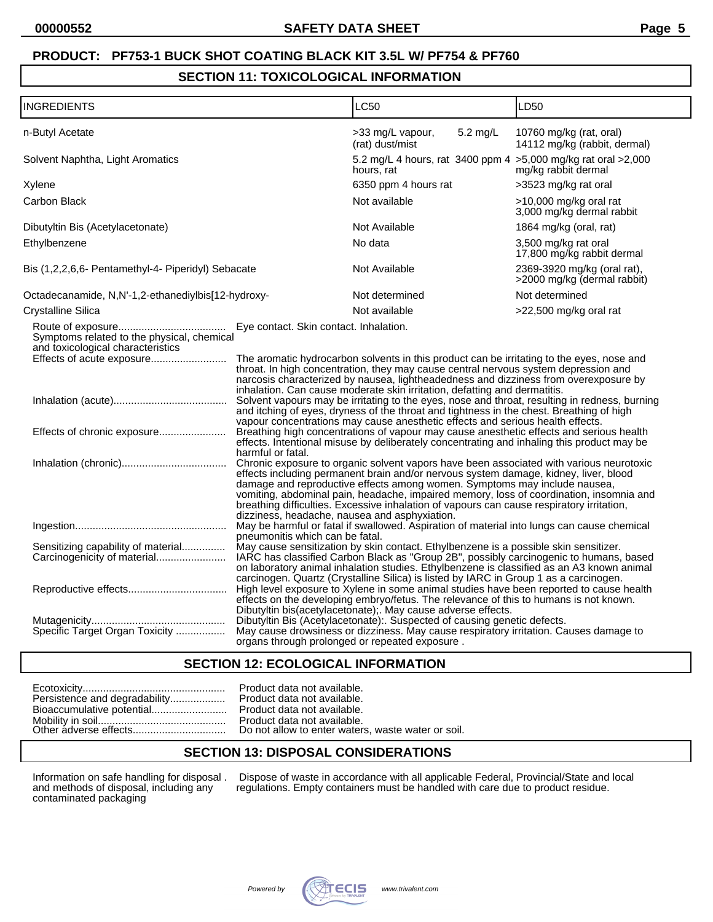#### **SECTION 11: TOXICOLOGICAL INFORMATION**

| <b>INGREDIENTS</b>                                                                                                                          |                                                                                                                                                                                                                                                                                                                                                                                                                                                                                                                                                                                                                                                                                                                                                                                                                                                                                                                                                                                                                                                                                                                                                                                                                                                                                                                                                             | LC50                                                                          | LD50                                                       |  |
|---------------------------------------------------------------------------------------------------------------------------------------------|-------------------------------------------------------------------------------------------------------------------------------------------------------------------------------------------------------------------------------------------------------------------------------------------------------------------------------------------------------------------------------------------------------------------------------------------------------------------------------------------------------------------------------------------------------------------------------------------------------------------------------------------------------------------------------------------------------------------------------------------------------------------------------------------------------------------------------------------------------------------------------------------------------------------------------------------------------------------------------------------------------------------------------------------------------------------------------------------------------------------------------------------------------------------------------------------------------------------------------------------------------------------------------------------------------------------------------------------------------------|-------------------------------------------------------------------------------|------------------------------------------------------------|--|
| n-Butyl Acetate                                                                                                                             |                                                                                                                                                                                                                                                                                                                                                                                                                                                                                                                                                                                                                                                                                                                                                                                                                                                                                                                                                                                                                                                                                                                                                                                                                                                                                                                                                             | >33 mg/L vapour,<br>$5.2$ mg/L<br>(rat) dust/mist                             | 10760 mg/kg (rat, oral)<br>14112 mg/kg (rabbit, dermal)    |  |
| Solvent Naphtha, Light Aromatics                                                                                                            |                                                                                                                                                                                                                                                                                                                                                                                                                                                                                                                                                                                                                                                                                                                                                                                                                                                                                                                                                                                                                                                                                                                                                                                                                                                                                                                                                             | 5.2 mg/L 4 hours, rat 3400 ppm 4 > 5,000 mg/kg rat oral > 2,000<br>hours, rat | mg/kg rabbit dermal                                        |  |
| Xylene                                                                                                                                      |                                                                                                                                                                                                                                                                                                                                                                                                                                                                                                                                                                                                                                                                                                                                                                                                                                                                                                                                                                                                                                                                                                                                                                                                                                                                                                                                                             | 6350 ppm 4 hours rat                                                          | >3523 mg/kg rat oral                                       |  |
| Carbon Black                                                                                                                                |                                                                                                                                                                                                                                                                                                                                                                                                                                                                                                                                                                                                                                                                                                                                                                                                                                                                                                                                                                                                                                                                                                                                                                                                                                                                                                                                                             | Not available                                                                 | >10,000 mg/kg oral rat<br>3,000 mg/kg dermal rabbit        |  |
| Dibutyltin Bis (Acetylacetonate)                                                                                                            |                                                                                                                                                                                                                                                                                                                                                                                                                                                                                                                                                                                                                                                                                                                                                                                                                                                                                                                                                                                                                                                                                                                                                                                                                                                                                                                                                             | Not Available                                                                 | 1864 mg/kg (oral, rat)                                     |  |
| Ethylbenzene                                                                                                                                |                                                                                                                                                                                                                                                                                                                                                                                                                                                                                                                                                                                                                                                                                                                                                                                                                                                                                                                                                                                                                                                                                                                                                                                                                                                                                                                                                             | No data                                                                       | 3,500 mg/kg rat oral<br>17,800 mg/kg rabbit dermal         |  |
| Bis (1,2,2,6,6- Pentamethyl-4- Piperidyl) Sebacate                                                                                          |                                                                                                                                                                                                                                                                                                                                                                                                                                                                                                                                                                                                                                                                                                                                                                                                                                                                                                                                                                                                                                                                                                                                                                                                                                                                                                                                                             | Not Available                                                                 | 2369-3920 mg/kg (oral rat),<br>>2000 mg/kg (dermal rabbit) |  |
| Octadecanamide, N,N'-1,2-ethanediylbis[12-hydroxy-                                                                                          |                                                                                                                                                                                                                                                                                                                                                                                                                                                                                                                                                                                                                                                                                                                                                                                                                                                                                                                                                                                                                                                                                                                                                                                                                                                                                                                                                             | Not determined                                                                | Not determined                                             |  |
| Crystalline Silica                                                                                                                          |                                                                                                                                                                                                                                                                                                                                                                                                                                                                                                                                                                                                                                                                                                                                                                                                                                                                                                                                                                                                                                                                                                                                                                                                                                                                                                                                                             | Not available                                                                 | >22,500 mg/kg oral rat                                     |  |
| Symptoms related to the physical, chemical<br>and toxicological characteristics<br>Effects of acute exposure<br>Effects of chronic exposure | The aromatic hydrocarbon solvents in this product can be irritating to the eyes, nose and<br>throat. In high concentration, they may cause central nervous system depression and<br>narcosis characterized by nausea, lightheadedness and dizziness from overexposure by<br>inhalation. Can cause moderate skin irritation, defatting and dermatitis.<br>Solvent vapours may be irritating to the eyes, nose and throat, resulting in redness, burning<br>and itching of eyes, dryness of the throat and tightness in the chest. Breathing of high<br>vapour concentrations may cause anesthetic effects and serious health effects.<br>Breathing high concentrations of vapour may cause anesthetic effects and serious health<br>effects. Intentional misuse by deliberately concentrating and inhaling this product may be<br>harmful or fatal.<br>Chronic exposure to organic solvent vapors have been associated with various neurotoxic<br>effects including permanent brain and/or nervous system damage, kidney, liver, blood<br>damage and reproductive effects among women. Symptoms may include nausea,<br>vomiting, abdominal pain, headache, impaired memory, loss of coordination, insomnia and<br>breathing difficulties. Excessive inhalation of vapours can cause respiratory irritation,<br>dizziness, headache, nausea and asphyxiation. |                                                                               |                                                            |  |
| Sensitizing capability of material<br>Carcinogenicity of material                                                                           | May be harmful or fatal if swallowed. Aspiration of material into lungs can cause chemical<br>pneumonitis which can be fatal.<br>May cause sensitization by skin contact. Ethylbenzene is a possible skin sensitizer.<br>IARC has classified Carbon Black as "Group 2B", possibly carcinogenic to humans, based<br>on laboratory animal inhalation studies. Ethylbenzene is classified as an A3 known animal                                                                                                                                                                                                                                                                                                                                                                                                                                                                                                                                                                                                                                                                                                                                                                                                                                                                                                                                                |                                                                               |                                                            |  |
|                                                                                                                                             | carcinogen. Quartz (Crystalline Silica) is listed by IARC in Group 1 as a carcinogen.<br>High level exposure to Xylene in some animal studies have been reported to cause health<br>effects on the developing embryo/fetus. The relevance of this to humans is not known.<br>Dibutyltin bis(acetylacetonate); May cause adverse effects.                                                                                                                                                                                                                                                                                                                                                                                                                                                                                                                                                                                                                                                                                                                                                                                                                                                                                                                                                                                                                    |                                                                               |                                                            |  |
| Specific Target Organ Toxicity                                                                                                              | Dibutyltin Bis (Acetylacetonate): Suspected of causing genetic defects.<br>May cause drowsiness or dizziness. May cause respiratory irritation. Causes damage to<br>organs through prolonged or repeated exposure.                                                                                                                                                                                                                                                                                                                                                                                                                                                                                                                                                                                                                                                                                                                                                                                                                                                                                                                                                                                                                                                                                                                                          |                                                                               |                                                            |  |

#### **SECTION 12: ECOLOGICAL INFORMATION**

| Persistence and degradability |
|-------------------------------|
|                               |
|                               |

Product data not available. Product data not available. Product data not available. Moduct data not available. Do not allow to enter waters, waste water or soil.

#### **SECTION 13: DISPOSAL CONSIDERATIONS**

Information on safe handling for disposal .<br>and methods of disposal, including any<br>contaminated packaging

Information on safe handling for disposal . Dispose of waste in accordance with all applicable Federal, Provincial/State and local and methods of disposal, including any regulations. Empty containers must be handled with care due to product residue.

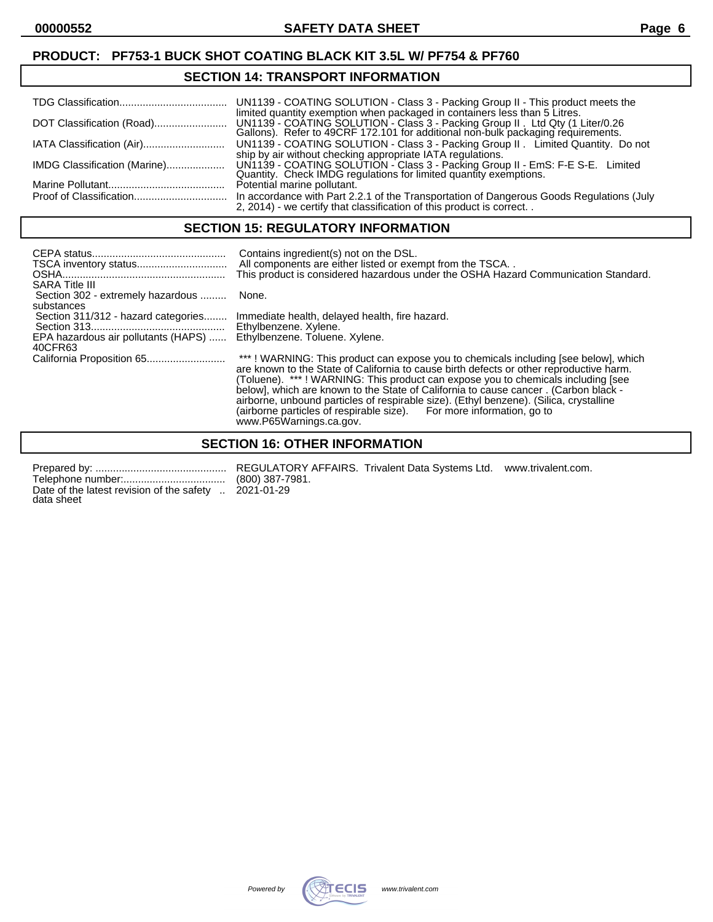#### **SECTION 14: TRANSPORT INFORMATION**

|                              | limited quantity exemption when packaged in containers less than 5 Litres.                                                                                       |
|------------------------------|------------------------------------------------------------------------------------------------------------------------------------------------------------------|
| IATA Classification (Air)    | UN1139 - COATING SOLUTION - Class 3 - Packing Group II. Limited Quantity. Do not<br>ship by air without checking appropriate IATA regulations.                   |
| IMDG Classification (Marine) | UN1139 - COATING SOLUTION - Class 3 - Packing Group II - EmS: F-E S-E. Limited Quantity. Check IMDG regulations for limited quantity exemptions.                 |
|                              | Potential marine pollutant.                                                                                                                                      |
|                              | In accordance with Part 2.2.1 of the Transportation of Dangerous Goods Regulations (July<br>2, 2014) - we certify that classification of this product is correct |

#### **SECTION 15: REGULATORY INFORMATION**

| <b>SARA Title III</b>                           | Contains ingredient(s) not on the DSL.<br>All components are either listed or exempt from the TSCA<br>This product is considered hazardous under the OSHA Hazard Communication Standard.                                                                                                                                                                                                                                                                                                                                                               |
|-------------------------------------------------|--------------------------------------------------------------------------------------------------------------------------------------------------------------------------------------------------------------------------------------------------------------------------------------------------------------------------------------------------------------------------------------------------------------------------------------------------------------------------------------------------------------------------------------------------------|
| Section 302 - extremely hazardous<br>substances | None.                                                                                                                                                                                                                                                                                                                                                                                                                                                                                                                                                  |
| Section 311/312 - hazard categories             | Immediate health, delayed health, fire hazard.<br>Ethylbenzene. Xylene.                                                                                                                                                                                                                                                                                                                                                                                                                                                                                |
| EPA hazardous air pollutants (HAPS)<br>40CFR63  | Ethylbenzene. Toluene. Xylene.                                                                                                                                                                                                                                                                                                                                                                                                                                                                                                                         |
|                                                 | ***! WARNING: This product can expose you to chemicals including [see below], which<br>are known to the State of California to cause birth defects or other reproductive harm.<br>(Toluene). ***! WARNING: This product can expose you to chemicals including [see<br>below], which are known to the State of California to cause cancer. (Carbon black -<br>airborne, unbound particles of respirable size). (Ethyl benzene). (Silica, crystalline<br>(airborne particles of respirable size). For more information, go to<br>www.P65Warnings.ca.gov. |

# **SECTION 16: OTHER INFORMATION**

Telephone number:................................... (800) 387-7981. Date of the latest revision of the safety .. 2021-01-29 data sheet

Prepared by: ............................................. REGULATORY AFFAIRS. Trivalent Data Systems Ltd. www.trivalent.com.

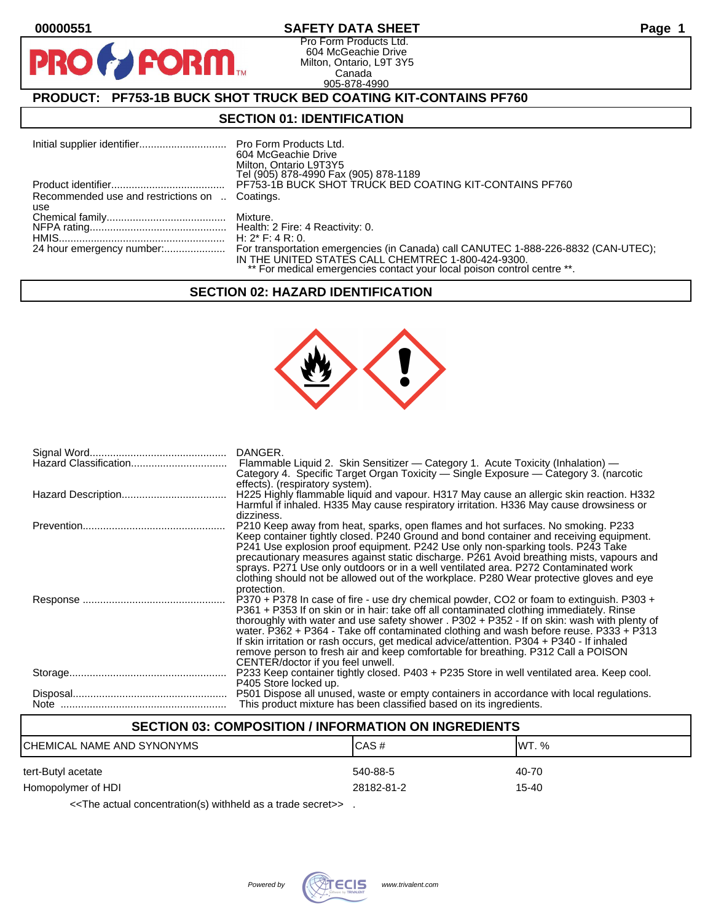**PIR** 

#### **00000551 SAFETY DATA SHEET Page 1**

Pro Form Products Ltd. 604 McGeachie Drive Milton, Ontario, L9T 3Y5 Canada 905-878-4990

### **PRODUCT: PF753-1B BUCK SHOT TRUCK BED COATING KIT-CONTAINS PF760**

**FORM.** 

#### **SECTION 01: IDENTIFICATION**

|                                                       | 604 McGeachie Drive<br>Milton, Ontario L9T3Y5<br>Tel (905) 878-4990 Fax (905) 878-1189                                        |
|-------------------------------------------------------|-------------------------------------------------------------------------------------------------------------------------------|
|                                                       | PF753-1B BUCK SHOT TRUCK BED COATING KIT-CONTAINS PF760                                                                       |
| Recommended use and restrictions on  Coatings.<br>use |                                                                                                                               |
|                                                       |                                                                                                                               |
|                                                       |                                                                                                                               |
|                                                       |                                                                                                                               |
|                                                       | IN THE UNITED STATES CALL CHEMTREC 1-800-424-9300.<br>** For medical emergencies contact your local poison control centre **. |

#### **SECTION 02: HAZARD IDENTIFICATION**



| DANGER.<br>Flammable Liquid 2. Skin Sensitizer - Category 1. Acute Toxicity (Inhalation) -<br>Category 4. Specific Target Organ Toxicity - Single Exposure - Category 3. (narcotic                                                                                                                                                                                                                                                                                                                                                                                                                   |
|------------------------------------------------------------------------------------------------------------------------------------------------------------------------------------------------------------------------------------------------------------------------------------------------------------------------------------------------------------------------------------------------------------------------------------------------------------------------------------------------------------------------------------------------------------------------------------------------------|
| effects). (respiratory system).<br>H225 Highly flammable liquid and vapour. H317 May cause an allergic skin reaction. H332<br>Harmful if inhaled. H335 May cause respiratory irritation. H336 May cause drowsiness or                                                                                                                                                                                                                                                                                                                                                                                |
| dizziness.<br>P210 Keep away from heat, sparks, open flames and hot surfaces. No smoking. P233<br>Keep container tightly closed. P240 Ground and bond container and receiving equipment.<br>P241 Use explosion proof equipment. P242 Use only non-sparking tools. P243 Take<br>precautionary measures against static discharge. P261 Avoid breathing mists, vapours and<br>sprays. P271 Use only outdoors or in a well ventilated area. P272 Contaminated work<br>clothing should not be allowed out of the workplace. P280 Wear protective gloves and eye<br>protection.                            |
| P370 + P378 In case of fire - use dry chemical powder, CO2 or foam to extinguish. P303 +<br>P361 + P353 If on skin or in hair: take off all contaminated clothing immediately. Rinse<br>thoroughly with water and use safety shower . P302 + P352 - If on skin: wash with plenty of<br>water. P362 + P364 - Take off contaminated clothing and wash before reuse. P333 + P313<br>If skin irritation or rash occurs, get medical advice/attention. P304 + P340 - If inhaled<br>remove person to fresh air and keep comfortable for breathing. P312 Call a POISON<br>CENTER/doctor if you feel unwell. |
| P233 Keep container tightly closed. P403 + P235 Store in well ventilated area. Keep cool.<br>P405 Store locked up.                                                                                                                                                                                                                                                                                                                                                                                                                                                                                   |
| P501 Dispose all unused, waste or empty containers in accordance with local regulations.<br>This product mixture has been classified based on its ingredients.                                                                                                                                                                                                                                                                                                                                                                                                                                       |

#### **SECTION 03: COMPOSITION / INFORMATION ON INGREDIENTS**

| ICHEMICAL NAME AND SYNONYMS | CAS#       | IWT. % |
|-----------------------------|------------|--------|
| tert-Butyl acetate          | 540-88-5   | 40-70  |
| Homopolymer of HDI          | 28182-81-2 | 15-40  |

<<The actual concentration(s) withheld as a trade secret>> .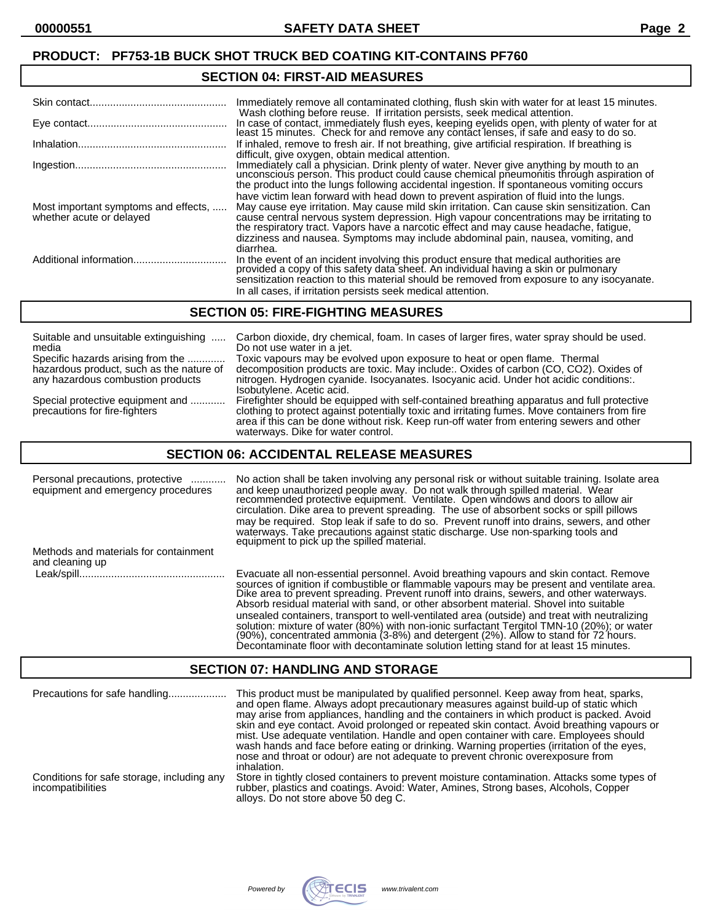#### **PRODUCT: PF753-1B BUCK SHOT TRUCK BED COATING KIT-CONTAINS PF760**

#### **SECTION 04: FIRST-AID MEASURES**

|                                                                  | Immediately remove all contaminated clothing, flush skin with water for at least 15 minutes.<br>Wash clothing before reuse. If irritation persists, seek medical attention.                                                                                                                                                                                                                                                                                    |
|------------------------------------------------------------------|----------------------------------------------------------------------------------------------------------------------------------------------------------------------------------------------------------------------------------------------------------------------------------------------------------------------------------------------------------------------------------------------------------------------------------------------------------------|
|                                                                  | In case of contact, immediately flush eyes, keeping eyelids open, with plenty of water for at<br>least 15 minutes. Check for and remove any contact lenses, if safe and easy to do so.                                                                                                                                                                                                                                                                         |
|                                                                  | If inhaled, remove to fresh air. If not breathing, give artificial respiration. If breathing is<br>difficult, give oxygen, obtain medical attention.                                                                                                                                                                                                                                                                                                           |
|                                                                  | Immediately call a physician. Drink plenty of water. Never give anything by mouth to an<br>unconscious person. This product could cause chemical pneumonitis through aspiration of<br>the product into the lungs following accidental ingestion. If spontaneous vomiting occurs                                                                                                                                                                                |
| Most important symptoms and effects,<br>whether acute or delayed | have victim lean forward with head down to prevent aspiration of fluid into the lungs.<br>May cause eye irritation. May cause mild skin irritation. Can cause skin sensitization. Can<br>cause central nervous system depression. High vapour concentrations may be irritating to<br>the respiratory tract. Vapors have a narcotic effect and may cause headache, fatigue,<br>dizziness and nausea. Symptoms may include abdominal pain, nausea, vomiting, and |
|                                                                  | diarrhea.<br>In the event of an incident involving this product ensure that medical authorities are<br>provided a copy of this safety data sheet. An individual having a skin or pulmonary                                                                                                                                                                                                                                                                     |
|                                                                  | sensitization reaction to this material should be removed from exposure to any isocyanate.<br>In all cases, if irritation persists seek medical attention.                                                                                                                                                                                                                                                                                                     |

#### **SECTION 05: FIRE-FIGHTING MEASURES**

| Suitable and unsuitable extinguishing                             | Carbon dioxide, dry chemical, foam. In cases of larger fires, water spray should be used.                                                                                                                                                                                                                                     |
|-------------------------------------------------------------------|-------------------------------------------------------------------------------------------------------------------------------------------------------------------------------------------------------------------------------------------------------------------------------------------------------------------------------|
| media                                                             | Do not use water in a jet.                                                                                                                                                                                                                                                                                                    |
| Specific hazards arising from the                                 | Toxic vapours may be evolved upon exposure to heat or open flame. Thermal                                                                                                                                                                                                                                                     |
| hazardous product, such as the nature of                          | decomposition products are toxic. May include:. Oxides of carbon (CO, CO2). Oxides of                                                                                                                                                                                                                                         |
| any hazardous combustion products                                 | nitrogen. Hydrogen cyanide. Isocyanates. Isocyanic acid. Under hot acidic conditions:.<br>Isobutylene. Acetic acid.                                                                                                                                                                                                           |
| Special protective equipment and<br>precautions for fire-fighters | Firefighter should be equipped with self-contained breathing apparatus and full protective<br>clothing to protect against potentially toxic and irritating fumes. Move containers from fire<br>area if this can be done without risk. Keep run-off water from entering sewers and other<br>waterways. Dike for water control. |

#### **SECTION 06: ACCIDENTAL RELEASE MEASURES**

| Personal precautions, protective<br>equipment and emergency procedures | No action shall be taken involving any personal risk or without suitable training. Isolate area<br>and keep unauthorized people away. Do not walk through spilled material. Wear<br>recommended protective equipment. Ventilate. Open windows and doors to allow air<br>circulation. Dike area to prevent spreading. The use of absorbent socks or spill pillows<br>may be required. Stop leak if safe to do so. Prevent runoff into drains, sewers, and other<br>waterways. Take precautions against static discharge. Use non-sparking tools and<br>equipment to pick up the spilled material.                                                               |
|------------------------------------------------------------------------|----------------------------------------------------------------------------------------------------------------------------------------------------------------------------------------------------------------------------------------------------------------------------------------------------------------------------------------------------------------------------------------------------------------------------------------------------------------------------------------------------------------------------------------------------------------------------------------------------------------------------------------------------------------|
| Methods and materials for containment<br>and cleaning up               |                                                                                                                                                                                                                                                                                                                                                                                                                                                                                                                                                                                                                                                                |
|                                                                        | Evacuate all non-essential personnel. Avoid breathing vapours and skin contact. Remove<br>sources of ignition if combustible or flammable vapours may be present and ventilate area.<br>Dike area to prevent spreading. Prevent runoff into drains, sewers, and other waterways.<br>Absorb residual material with sand, or other absorbent material. Shovel into suitable<br>unsealed containers, transport to well-ventilated area (outside) and treat with neutralizing<br>solution: mixture of water (80%) with non-ionic surfactant Tergitol TMN-10 (20%); or water<br>(90%), concentrated ammonia (3-8%) and detergent (2%). Allow to stand for 72 hours. |

#### **SECTION 07: HANDLING AND STORAGE**

| Precautions for safe handling                                   | This product must be manipulated by qualified personnel. Keep away from heat, sparks,<br>and open flame. Always adopt precautionary measures against build-up of static which<br>may arise from appliances, handling and the containers in which product is packed. Avoid<br>skin and eye contact. Avoid prolonged or repeated skin contact. Avoid breathing vapours or<br>mist. Use adequate ventilation. Handle and open container with care. Employees should<br>wash hands and face before eating or drinking. Warning properties (irritation of the eyes,<br>nose and throat or odour) are not adequate to prevent chronic overexposure from<br>inhalation. |
|-----------------------------------------------------------------|------------------------------------------------------------------------------------------------------------------------------------------------------------------------------------------------------------------------------------------------------------------------------------------------------------------------------------------------------------------------------------------------------------------------------------------------------------------------------------------------------------------------------------------------------------------------------------------------------------------------------------------------------------------|
| Conditions for safe storage, including any<br>incompatibilities | Store in tightly closed containers to prevent moisture contamination. Attacks some types of<br>rubber, plastics and coatings. Avoid: Water, Amines, Strong bases, Alcohols, Copper<br>alloys. Do not store above 50 deg C.                                                                                                                                                                                                                                                                                                                                                                                                                                       |



Decontaminate floor with decontaminate solution letting stand for at least 15 minutes.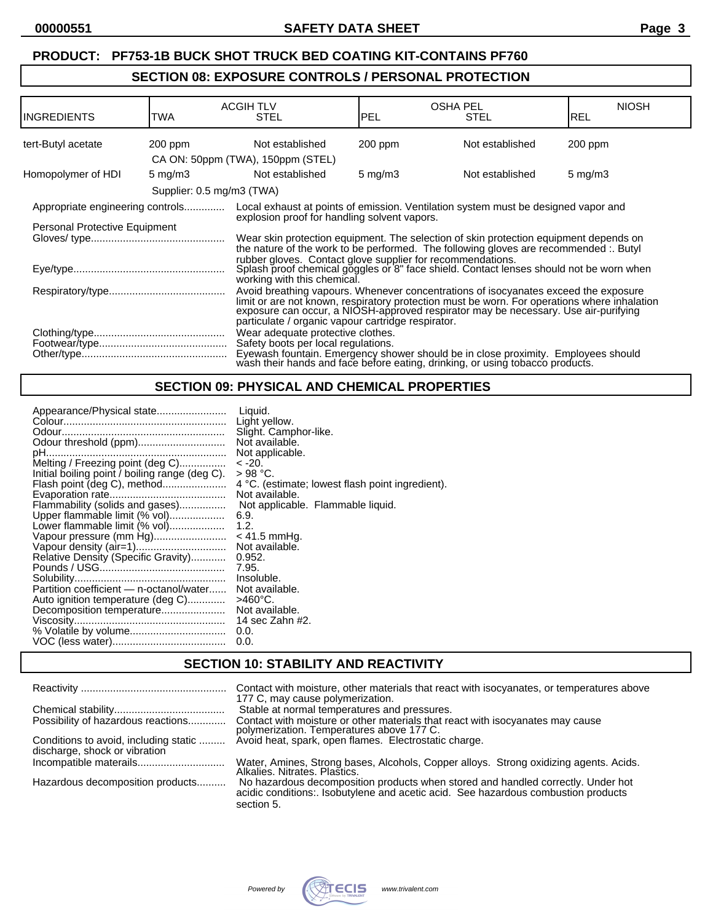# **PRODUCT: PF753-1B BUCK SHOT TRUCK BED COATING KIT-CONTAINS PF760 SECTION 08: EXPOSURE CONTROLS / PERSONAL PROTECTION**

| IINGREDIENTS                     | TWA                       | <b>ACGIH TLV</b><br><b>STEL</b>                                                                                                                                                                                                                                                                                                  | <b>PEL</b>       | <b>OSHA PEL</b><br><b>STEL</b> | <b>NIOSH</b><br><b>REL</b> |
|----------------------------------|---------------------------|----------------------------------------------------------------------------------------------------------------------------------------------------------------------------------------------------------------------------------------------------------------------------------------------------------------------------------|------------------|--------------------------------|----------------------------|
| tert-Butyl acetate               | $200$ ppm                 | Not established                                                                                                                                                                                                                                                                                                                  | $200$ ppm        | Not established                | 200 ppm                    |
|                                  |                           | CA ON: 50ppm (TWA), 150ppm (STEL)                                                                                                                                                                                                                                                                                                |                  |                                |                            |
| Homopolymer of HDI               | 5 mg/m $3$                | Not established                                                                                                                                                                                                                                                                                                                  | $5 \text{ mg/m}$ | Not established                | $5 \text{ mg/m}$           |
|                                  | Supplier: 0.5 mg/m3 (TWA) |                                                                                                                                                                                                                                                                                                                                  |                  |                                |                            |
| Appropriate engineering controls |                           | Local exhaust at points of emission. Ventilation system must be designed vapor and<br>explosion proof for handling solvent vapors.                                                                                                                                                                                               |                  |                                |                            |
| Personal Protective Equipment    |                           | Wear skin protection equipment. The selection of skin protection equipment depends on<br>the nature of the work to be performed. The following gloves are recommended :. Butyl                                                                                                                                                   |                  |                                |                            |
|                                  |                           | rubber gloves. Contact glove supplier for recommendations.<br>Splash proof chemical goggles or 8" face shield. Contact lenses should not be worn when<br>working with this chemical.                                                                                                                                             |                  |                                |                            |
|                                  |                           | Avoid breathing vapours. Whenever concentrations of isocyanates exceed the exposure<br>limit or are not known, respiratory protection must be worn. For operations where inhalation<br>exposure can occur, a NIOSH-approved respirator may be necessary. Use air-purifying<br>particulate / organic vapour cartridge respirator. |                  |                                |                            |
|                                  |                           | Wear adequate protective clothes.<br>Safety boots per local regulations.<br>Eyewash fountain. Emergency shower should be in close proximity. Employees should<br>wash their hands and face before eating, drinking, or using tobacco products.                                                                                   |                  |                                |                            |

## **SECTION 09: PHYSICAL AND CHEMICAL PROPERTIES**

# **SECTION 10: STABILITY AND REACTIVITY**

|                                                                        | Contact with moisture, other materials that react with isocyanates, or temperatures above<br>177 C, may cause polymerization.                                                       |
|------------------------------------------------------------------------|-------------------------------------------------------------------------------------------------------------------------------------------------------------------------------------|
|                                                                        | Stable at normal temperatures and pressures.                                                                                                                                        |
| Possibility of hazardous reactions                                     | Contact with moisture or other materials that react with isocyanates may cause<br>polymerization. Temperatures above 177 C.                                                         |
| Conditions to avoid, including static<br>discharge, shock or vibration | Avoid heat, spark, open flames. Electrostatic charge.                                                                                                                               |
|                                                                        | Water, Amines, Strong bases, Alcohols, Copper alloys. Strong oxidizing agents. Acids.<br>Alkalies. Nitrates. Plastics.                                                              |
| Hazardous decomposition products                                       | No hazardous decomposition products when stored and handled correctly. Under hot<br>acidic conditions: Isobutylene and acetic acid. See hazardous combustion products<br>section 5. |

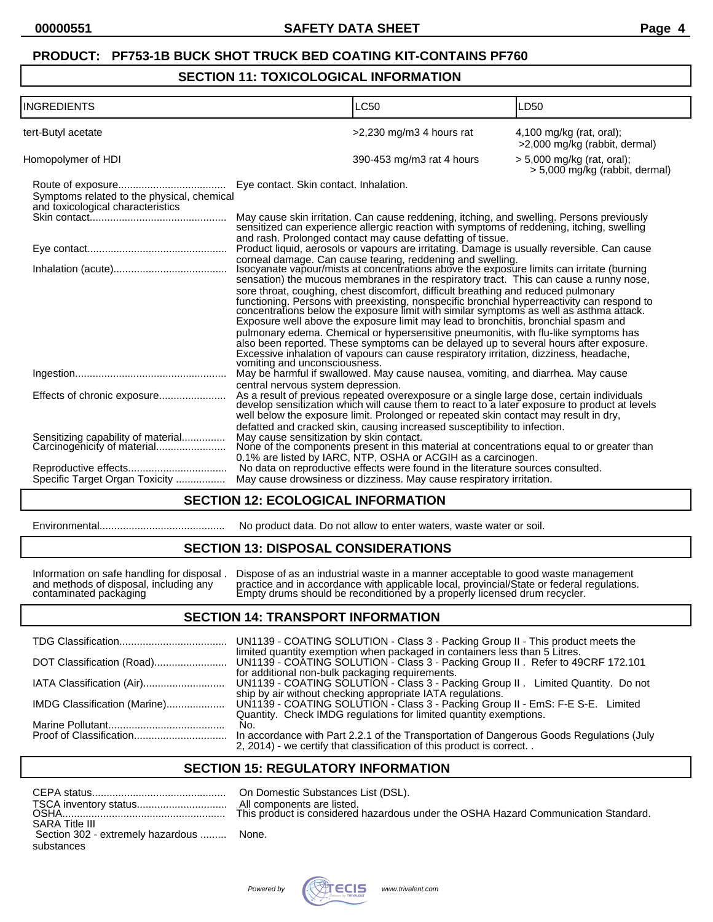# **PRODUCT: PF753-1B BUCK SHOT TRUCK BED COATING KIT-CONTAINS PF760**

#### **SECTION 11: TOXICOLOGICAL INFORMATION**

| <b>INGREDIENTS</b>                                                              | <b>LC50</b>                                                                                                                                                                                                                                                                                                                                                                                                                                                                                                                                                                                                                                                                                                                                                                                                                                                                                                                        | LD50                                                           |
|---------------------------------------------------------------------------------|------------------------------------------------------------------------------------------------------------------------------------------------------------------------------------------------------------------------------------------------------------------------------------------------------------------------------------------------------------------------------------------------------------------------------------------------------------------------------------------------------------------------------------------------------------------------------------------------------------------------------------------------------------------------------------------------------------------------------------------------------------------------------------------------------------------------------------------------------------------------------------------------------------------------------------|----------------------------------------------------------------|
| tert-Butyl acetate                                                              | $>2,230$ mg/m3 4 hours rat                                                                                                                                                                                                                                                                                                                                                                                                                                                                                                                                                                                                                                                                                                                                                                                                                                                                                                         | $4,100$ mg/kg (rat, oral);<br>>2,000 mg/kg (rabbit, dermal)    |
| Homopolymer of HDI                                                              | 390-453 mg/m3 rat 4 hours                                                                                                                                                                                                                                                                                                                                                                                                                                                                                                                                                                                                                                                                                                                                                                                                                                                                                                          | $> 5,000$ mg/kg (rat, oral);<br>> 5,000 mg/kg (rabbit, dermal) |
| Symptoms related to the physical, chemical<br>and toxicological characteristics |                                                                                                                                                                                                                                                                                                                                                                                                                                                                                                                                                                                                                                                                                                                                                                                                                                                                                                                                    |                                                                |
|                                                                                 | May cause skin irritation. Can cause reddening, itching, and swelling. Persons previously sensitized can experience allergic reaction with symptoms of reddening, itching, swelling<br>and rash. Prolonged contact may cause defatting of tissue.                                                                                                                                                                                                                                                                                                                                                                                                                                                                                                                                                                                                                                                                                  |                                                                |
|                                                                                 | Product liquid, aerosols or vapours are irritating. Damage is usually reversible. Can cause                                                                                                                                                                                                                                                                                                                                                                                                                                                                                                                                                                                                                                                                                                                                                                                                                                        |                                                                |
|                                                                                 | corneal damage. Can cause tearing, reddening and swelling.<br>Isocyanate vapour/mists at concentrations above the exposure limits can irritate (burning<br>sensation) the mucous membranes in the respiratory tract. This can cause a runny nose,<br>sore throat, coughing, chest discomfort, difficult breathing and reduced pulmonary<br>functioning. Persons with preexisting, nonspecific bronchial hyperreactivity can respond to<br>concentrations below the exposure limit with similar symptoms as well as asthma attack.<br>Exposure well above the exposure limit may lead to bronchitis, bronchial spasm and<br>pulmonary edema. Chemical or hypersensitive pneumonitis, with flu-like symptoms has<br>also been reported. These symptoms can be delayed up to several hours after exposure.<br>Excessive inhalation of vapours can cause respiratory irritation, dizziness, headache,<br>vomiting and unconsciousness. |                                                                |
|                                                                                 | May be harmful if swallowed. May cause nausea, vomiting, and diarrhea. May cause<br>central nervous system depression.                                                                                                                                                                                                                                                                                                                                                                                                                                                                                                                                                                                                                                                                                                                                                                                                             |                                                                |
| Effects of chronic exposure                                                     | As a result of previous repeated overexposure or a single large dose, certain individuals develop sensitization which will cause them to react to a later exposure to product at levels<br>well below the exposure limit. Prolonged or repeated skin contact may result in dry,<br>defatted and cracked skin, causing increased susceptibility to infection.                                                                                                                                                                                                                                                                                                                                                                                                                                                                                                                                                                       |                                                                |
| Sensitizing capability of material<br>Carcinogenicity of material               | May cause sensitization by skin contact.<br>None of the components present in this material at concentrations equal to or greater than<br>0.1% are listed by IARC, NTP, OSHA or ACGIH as a carcinogen.                                                                                                                                                                                                                                                                                                                                                                                                                                                                                                                                                                                                                                                                                                                             |                                                                |
|                                                                                 | No data on reproductive effects were found in the literature sources consulted.                                                                                                                                                                                                                                                                                                                                                                                                                                                                                                                                                                                                                                                                                                                                                                                                                                                    |                                                                |
| Specific Target Organ Toxicity                                                  | May cause drowsiness or dizziness. May cause respiratory irritation.                                                                                                                                                                                                                                                                                                                                                                                                                                                                                                                                                                                                                                                                                                                                                                                                                                                               |                                                                |

#### **SECTION 12: ECOLOGICAL INFORMATION**

| Environmental |  |
|---------------|--|
|---------------|--|

#### Environmental........................................... No product data. Do not allow to enter waters, waste water or soil.

#### **SECTION 13: DISPOSAL CONSIDERATIONS**

Information on safe handling for disposal . Dispose of as an industrial waste in a manner acceptable to good waste management and methods of disposal, including any practice and in accordance with applicable local, provincial/State or federal regulations. contaminated packaging Empty drums should be reconditioned by a properly licensed drum recycler.

#### **SECTION 14: TRANSPORT INFORMATION**

| UN1139 - COATING SOLUTION - Class 3 - Packing Group II - This product meets the                                                                                                                                                                 |
|-------------------------------------------------------------------------------------------------------------------------------------------------------------------------------------------------------------------------------------------------|
| limited quantity exemption when packaged in containers less than 5 Litres.                                                                                                                                                                      |
| for additional non-bulk packaging requirements.<br>UN1139 - COATING SOLUTION - Class 3 - Packing Group II. Limited Quantity. Do not                                                                                                             |
| ship by air without checking appropriate IATA regulations.<br>UN1139 - COATING SOLUTION - Class 3 - Packing Group II - EmS: F-E S-E. Limited<br>IMDG Classification (Marine)                                                                    |
| Quantity. Check IMDG regulations for limited quantity exemptions.<br>No.<br>In accordance with Part 2.2.1 of the Transportation of Dangerous Goods Regulations (July<br>2, 2014) - we certify that classification of this product is correct. . |
|                                                                                                                                                                                                                                                 |

#### **SECTION 15: REGULATORY INFORMATION**

|                                          | All con |
|------------------------------------------|---------|
|                                          |         |
| <b>SARA Title III</b>                    |         |
| Section 302 - extremely hazardous  None. |         |
| substances                               |         |

On Domestic Substances List (DSL). All components are listed. his product is considered hazardous under the OSHA Hazard Communication Standard.